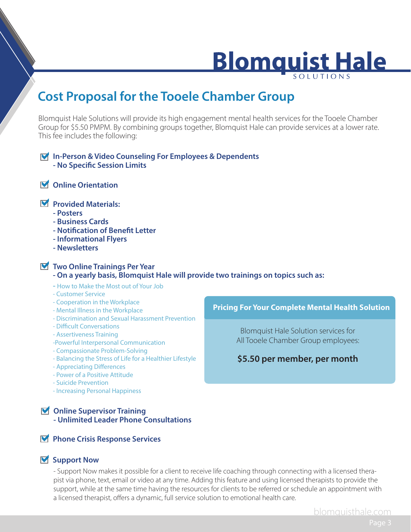## **Blomquist Hale**

### **Cost Proposal for the Tooele Chamber Group**

Blomquist Hale Solutions will provide its high engagement mental health services for the Tooele Chamber Group for \$5.50 PMPM. By combining groups together, Blomquist Hale can provide services at a lower rate. This fee includes the following:

#### a**In-Person & Video Counseling For Employees & Dependents - No Specific Session Limits**

a **Online Orientation**

#### a**Provided Materials:**

- **Posters**
- **Business Cards**
- **Notification of Benefit Letter**
- **Informational Flyers**
- **Newsletters**

### a **Two Online Trainings Per Year**

#### **- On a yearly basis, Blomquist Hale will provide two trainings on topics such as:**

- How to Make the Most out of Your Job
- Customer Service
- Cooperation in the Workplace
- Mental Illness in the Workplace
- Discrimination and Sexual Harassment Prevention
- Difficult Conversations
- Assertiveness Training
- -Powerful Interpersonal Communication
- Compassionate Problem-Solving
- Balancing the Stress of Life for a Healthier Lifestyle
- Appreciating Differences
- Power of a Positive Attitude
- Suicide Prevention
- Increasing Personal Happiness

### **M** Online Supervisor Training

**- Unlimited Leader Phone Consultations**

#### a**Phone Crisis Response Services**

#### **M** Support Now

- Support Now makes it possible for a client to receive life coaching through connecting with a licensed therapist via phone, text, email or video at any time. Adding this feature and using licensed therapists to provide the support, while at the same time having the resources for clients to be referred or schedule an appointment with a licensed therapist, offers a dynamic, full service solution to emotional health care.

#### **Pricing For Your Complete Mental Health Solution**

Blomquist Hale Solution services for All Tooele Chamber Group employees:

#### **\$5.50 per member, per month**